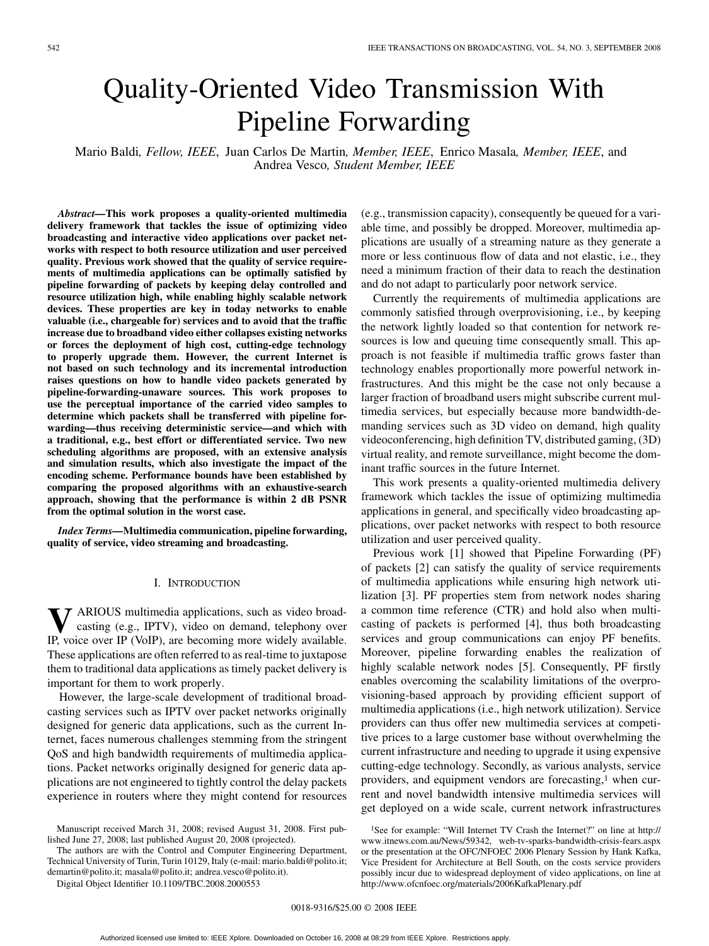# Quality-Oriented Video Transmission With Pipeline Forwarding

Mario Baldi*, Fellow, IEEE*, Juan Carlos De Martin*, Member, IEEE*, Enrico Masala*, Member, IEEE*, and Andrea Vesco*, Student Member, IEEE*

*Abstract—***This work proposes a quality-oriented multimedia delivery framework that tackles the issue of optimizing video broadcasting and interactive video applications over packet networks with respect to both resource utilization and user perceived quality. Previous work showed that the quality of service requirements of multimedia applications can be optimally satisfied by pipeline forwarding of packets by keeping delay controlled and resource utilization high, while enabling highly scalable network devices. These properties are key in today networks to enable valuable (i.e., chargeable for) services and to avoid that the traffic increase due to broadband video either collapses existing networks or forces the deployment of high cost, cutting-edge technology to properly upgrade them. However, the current Internet is not based on such technology and its incremental introduction raises questions on how to handle video packets generated by pipeline-forwarding-unaware sources. This work proposes to use the perceptual importance of the carried video samples to determine which packets shall be transferred with pipeline forwarding—thus receiving deterministic service—and which with a traditional, e.g., best effort or differentiated service. Two new scheduling algorithms are proposed, with an extensive analysis and simulation results, which also investigate the impact of the encoding scheme. Performance bounds have been established by comparing the proposed algorithms with an exhaustive-search approach, showing that the performance is within 2 dB PSNR from the optimal solution in the worst case.**

*Index Terms—***Multimedia communication, pipeline forwarding, quality of service, video streaming and broadcasting.**

## I. INTRODUCTION

**7** ARIOUS multimedia applications, such as video broadcasting (e.g., IPTV), video on demand, telephony over IP, voice over IP (VoIP), are becoming more widely available. These applications are often referred to as real-time to juxtapose them to traditional data applications as timely packet delivery is important for them to work properly.

However, the large-scale development of traditional broadcasting services such as IPTV over packet networks originally designed for generic data applications, such as the current Internet, faces numerous challenges stemming from the stringent QoS and high bandwidth requirements of multimedia applications. Packet networks originally designed for generic data applications are not engineered to tightly control the delay packets experience in routers where they might contend for resources

The authors are with the Control and Computer Engineering Department, Technical University of Turin, Turin 10129, Italy (e-mail: mario.baldi@polito.it; demartin@polito.it; masala@polito.it; andrea.vesco@polito.it).

Digital Object Identifier 10.1109/TBC.2008.2000553

(e.g., transmission capacity), consequently be queued for a variable time, and possibly be dropped. Moreover, multimedia applications are usually of a streaming nature as they generate a more or less continuous flow of data and not elastic, i.e., they need a minimum fraction of their data to reach the destination and do not adapt to particularly poor network service.

Currently the requirements of multimedia applications are commonly satisfied through overprovisioning, i.e., by keeping the network lightly loaded so that contention for network resources is low and queuing time consequently small. This approach is not feasible if multimedia traffic grows faster than technology enables proportionally more powerful network infrastructures. And this might be the case not only because a larger fraction of broadband users might subscribe current multimedia services, but especially because more bandwidth-demanding services such as 3D video on demand, high quality videoconferencing, high definition TV, distributed gaming, (3D) virtual reality, and remote surveillance, might become the dominant traffic sources in the future Internet.

This work presents a quality-oriented multimedia delivery framework which tackles the issue of optimizing multimedia applications in general, and specifically video broadcasting applications, over packet networks with respect to both resource utilization and user perceived quality.

Previous work [1] showed that Pipeline Forwarding (PF) of packets [2] can satisfy the quality of service requirements of multimedia applications while ensuring high network utilization [3]. PF properties stem from network nodes sharing a common time reference (CTR) and hold also when multicasting of packets is performed [4], thus both broadcasting services and group communications can enjoy PF benefits. Moreover, pipeline forwarding enables the realization of highly scalable network nodes [5]. Consequently, PF firstly enables overcoming the scalability limitations of the overprovisioning-based approach by providing efficient support of multimedia applications (i.e., high network utilization). Service providers can thus offer new multimedia services at competitive prices to a large customer base without overwhelming the current infrastructure and needing to upgrade it using expensive cutting-edge technology. Secondly, as various analysts, service providers, and equipment vendors are forecasting,<sup>1</sup> when current and novel bandwidth intensive multimedia services will get deployed on a wide scale, current network infrastructures

Manuscript received March 31, 2008; revised August 31, 2008. First published June 27, 2008; last published August 20, 2008 (projected).

<sup>1</sup>See for example: "Will Internet TV Crash the Internet?" on line at http:// www.itnews.com.au/News/59342, web-tv-sparks-bandwidth-crisis-fears.aspx or the presentation at the OFC/NFOEC 2006 Plenary Session by Hank Kafka, Vice President for Architecture at Bell South, on the costs service providers possibly incur due to widespread deployment of video applications, on line at http://www.ofcnfoec.org/materials/2006KafkaPlenary.pdf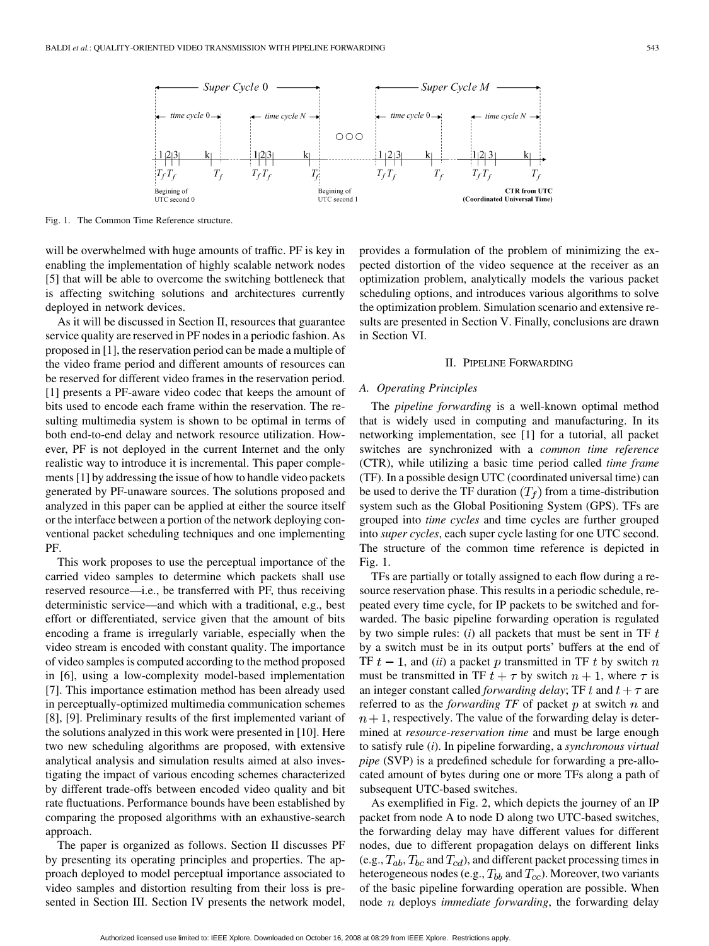

Fig. 1. The Common Time Reference structure.

will be overwhelmed with huge amounts of traffic. PF is key in enabling the implementation of highly scalable network nodes [5] that will be able to overcome the switching bottleneck that is affecting switching solutions and architectures currently deployed in network devices.

As it will be discussed in Section II, resources that guarantee service quality are reserved in PF nodes in a periodic fashion. As proposed in [1], the reservation period can be made a multiple of the video frame period and different amounts of resources can be reserved for different video frames in the reservation period. [1] presents a PF-aware video codec that keeps the amount of bits used to encode each frame within the reservation. The resulting multimedia system is shown to be optimal in terms of both end-to-end delay and network resource utilization. However, PF is not deployed in the current Internet and the only realistic way to introduce it is incremental. This paper complements [1] by addressing the issue of how to handle video packets generated by PF-unaware sources. The solutions proposed and analyzed in this paper can be applied at either the source itself or the interface between a portion of the network deploying conventional packet scheduling techniques and one implementing PF.

This work proposes to use the perceptual importance of the carried video samples to determine which packets shall use reserved resource—i.e., be transferred with PF, thus receiving deterministic service—and which with a traditional, e.g., best effort or differentiated, service given that the amount of bits encoding a frame is irregularly variable, especially when the video stream is encoded with constant quality. The importance of video samples is computed according to the method proposed in [6], using a low-complexity model-based implementation [7]. This importance estimation method has been already used in perceptually-optimized multimedia communication schemes [8], [9]. Preliminary results of the first implemented variant of the solutions analyzed in this work were presented in [10]. Here two new scheduling algorithms are proposed, with extensive analytical analysis and simulation results aimed at also investigating the impact of various encoding schemes characterized by different trade-offs between encoded video quality and bit rate fluctuations. Performance bounds have been established by comparing the proposed algorithms with an exhaustive-search approach.

The paper is organized as follows. Section II discusses PF by presenting its operating principles and properties. The approach deployed to model perceptual importance associated to video samples and distortion resulting from their loss is presented in Section III. Section IV presents the network model,

provides a formulation of the problem of minimizing the expected distortion of the video sequence at the receiver as an optimization problem, analytically models the various packet scheduling options, and introduces various algorithms to solve the optimization problem. Simulation scenario and extensive results are presented in Section V. Finally, conclusions are drawn in Section VI.

#### II. PIPELINE FORWARDING

## *A. Operating Principles*

The *pipeline forwarding* is a well-known optimal method that is widely used in computing and manufacturing. In its networking implementation, see [1] for a tutorial, all packet switches are synchronized with a *common time reference* (CTR), while utilizing a basic time period called *time frame* (TF). In a possible design UTC (coordinated universal time) can be used to derive the TF duration  $(T_f)$  from a time-distribution system such as the Global Positioning System (GPS). TFs are grouped into *time cycles* and time cycles are further grouped into *super cycles*, each super cycle lasting for one UTC second. The structure of the common time reference is depicted in Fig. 1.

TFs are partially or totally assigned to each flow during a resource reservation phase. This results in a periodic schedule, repeated every time cycle, for IP packets to be switched and forwarded. The basic pipeline forwarding operation is regulated by two simple rules:  $(i)$  all packets that must be sent in TF  $t$ by a switch must be in its output ports' buffers at the end of TF  $t - 1$ , and *(ii)* a packet p transmitted in TF t by switch n must be transmitted in TF  $t + \tau$  by switch  $n + 1$ , where  $\tau$  is an integer constant called *forwarding delay*; TF t and  $t + \tau$  are referred to as the *forwarding*  $TF$  of packet  $p$  at switch  $n$  and  $n + 1$ , respectively. The value of the forwarding delay is determined at *resource-reservation time* and must be large enough to satisfy rule (*i*). In pipeline forwarding, a *synchronous virtual pipe* (SVP) is a predefined schedule for forwarding a pre-allocated amount of bytes during one or more TFs along a path of subsequent UTC-based switches.

As exemplified in Fig. 2, which depicts the journey of an IP packet from node A to node D along two UTC-based switches, the forwarding delay may have different values for different nodes, due to different propagation delays on different links (e.g.,  $T_{ab}$ ,  $T_{bc}$  and  $T_{cd}$ ), and different packet processing times in heterogeneous nodes (e.g.,  $T_{bb}$  and  $T_{cc}$ ). Moreover, two variants of the basic pipeline forwarding operation are possible. When node  $n$  deploys *immediate forwarding*, the forwarding delay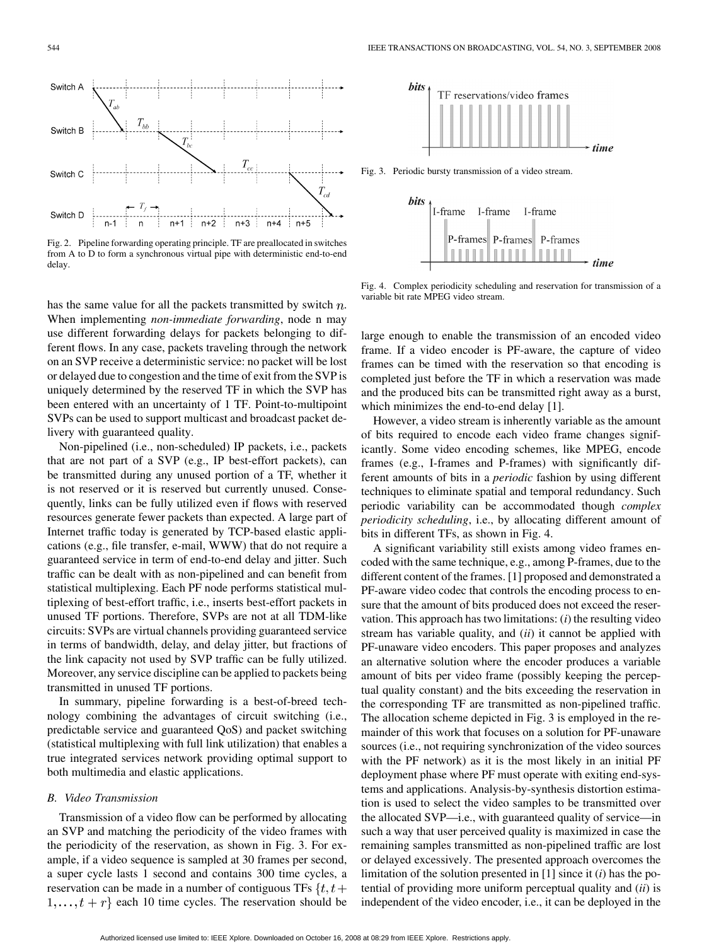

Fig. 2. Pipeline forwarding operating principle. TF are preallocated in switches from A to D to form a synchronous virtual pipe with deterministic end-to-end delay.

has the same value for all the packets transmitted by switch  $n$ . When implementing *non-immediate forwarding*, node n may use different forwarding delays for packets belonging to different flows. In any case, packets traveling through the network on an SVP receive a deterministic service: no packet will be lost or delayed due to congestion and the time of exit from the SVP is uniquely determined by the reserved TF in which the SVP has been entered with an uncertainty of 1 TF. Point-to-multipoint SVPs can be used to support multicast and broadcast packet delivery with guaranteed quality.

Non-pipelined (i.e., non-scheduled) IP packets, i.e., packets that are not part of a SVP (e.g., IP best-effort packets), can be transmitted during any unused portion of a TF, whether it is not reserved or it is reserved but currently unused. Consequently, links can be fully utilized even if flows with reserved resources generate fewer packets than expected. A large part of Internet traffic today is generated by TCP-based elastic applications (e.g., file transfer, e-mail, WWW) that do not require a guaranteed service in term of end-to-end delay and jitter. Such traffic can be dealt with as non-pipelined and can benefit from statistical multiplexing. Each PF node performs statistical multiplexing of best-effort traffic, i.e., inserts best-effort packets in unused TF portions. Therefore, SVPs are not at all TDM-like circuits: SVPs are virtual channels providing guaranteed service in terms of bandwidth, delay, and delay jitter, but fractions of the link capacity not used by SVP traffic can be fully utilized. Moreover, any service discipline can be applied to packets being transmitted in unused TF portions.

In summary, pipeline forwarding is a best-of-breed technology combining the advantages of circuit switching (i.e., predictable service and guaranteed QoS) and packet switching (statistical multiplexing with full link utilization) that enables a true integrated services network providing optimal support to both multimedia and elastic applications.

## *B. Video Transmission*

Transmission of a video flow can be performed by allocating an SVP and matching the periodicity of the video frames with the periodicity of the reservation, as shown in Fig. 3. For example, if a video sequence is sampled at 30 frames per second, a super cycle lasts 1 second and contains 300 time cycles, a reservation can be made in a number of contiguous TFs  $\{t, t +$  $\{1, \ldots, t + r\}$  each 10 time cycles. The reservation should be



Fig. 3. Periodic bursty transmission of a video stream.



Fig. 4. Complex periodicity scheduling and reservation for transmission of a variable bit rate MPEG video stream.

large enough to enable the transmission of an encoded video frame. If a video encoder is PF-aware, the capture of video frames can be timed with the reservation so that encoding is completed just before the TF in which a reservation was made and the produced bits can be transmitted right away as a burst, which minimizes the end-to-end delay [1].

However, a video stream is inherently variable as the amount of bits required to encode each video frame changes significantly. Some video encoding schemes, like MPEG, encode frames (e.g., I-frames and P-frames) with significantly different amounts of bits in a *periodic* fashion by using different techniques to eliminate spatial and temporal redundancy. Such periodic variability can be accommodated though *complex periodicity scheduling*, i.e., by allocating different amount of bits in different TFs, as shown in Fig. 4.

A significant variability still exists among video frames encoded with the same technique, e.g., among P-frames, due to the different content of the frames. [1] proposed and demonstrated a PF-aware video codec that controls the encoding process to ensure that the amount of bits produced does not exceed the reservation. This approach has two limitations: (*i*) the resulting video stream has variable quality, and (*ii*) it cannot be applied with PF-unaware video encoders. This paper proposes and analyzes an alternative solution where the encoder produces a variable amount of bits per video frame (possibly keeping the perceptual quality constant) and the bits exceeding the reservation in the corresponding TF are transmitted as non-pipelined traffic. The allocation scheme depicted in Fig. 3 is employed in the remainder of this work that focuses on a solution for PF-unaware sources (i.e., not requiring synchronization of the video sources with the PF network) as it is the most likely in an initial PF deployment phase where PF must operate with exiting end-systems and applications. Analysis-by-synthesis distortion estimation is used to select the video samples to be transmitted over the allocated SVP—i.e., with guaranteed quality of service—in such a way that user perceived quality is maximized in case the remaining samples transmitted as non-pipelined traffic are lost or delayed excessively. The presented approach overcomes the limitation of the solution presented in [1] since it (*i*) has the potential of providing more uniform perceptual quality and (*ii*) is independent of the video encoder, i.e., it can be deployed in the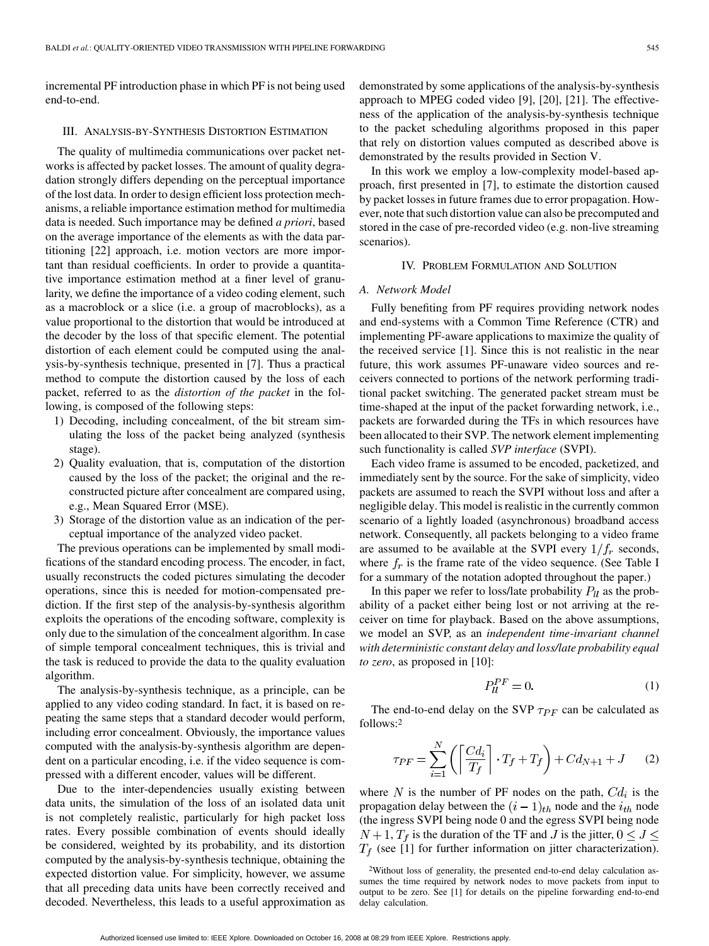incremental PF introduction phase in which PF is not being used end-to-end.

#### III. ANALYSIS-BY-SYNTHESIS DISTORTION ESTIMATION

The quality of multimedia communications over packet networks is affected by packet losses. The amount of quality degradation strongly differs depending on the perceptual importance of the lost data. In order to design efficient loss protection mechanisms, a reliable importance estimation method for multimedia data is needed. Such importance may be defined *a priori*, based on the average importance of the elements as with the data partitioning [22] approach, i.e. motion vectors are more important than residual coefficients. In order to provide a quantitative importance estimation method at a finer level of granularity, we define the importance of a video coding element, such as a macroblock or a slice (i.e. a group of macroblocks), as a value proportional to the distortion that would be introduced at the decoder by the loss of that specific element. The potential distortion of each element could be computed using the analysis-by-synthesis technique, presented in [7]. Thus a practical method to compute the distortion caused by the loss of each packet, referred to as the *distortion of the packet* in the following, is composed of the following steps:

- 1) Decoding, including concealment, of the bit stream simulating the loss of the packet being analyzed (synthesis stage).
- 2) Quality evaluation, that is, computation of the distortion caused by the loss of the packet; the original and the reconstructed picture after concealment are compared using, e.g., Mean Squared Error (MSE).
- 3) Storage of the distortion value as an indication of the perceptual importance of the analyzed video packet.

The previous operations can be implemented by small modifications of the standard encoding process. The encoder, in fact, usually reconstructs the coded pictures simulating the decoder operations, since this is needed for motion-compensated prediction. If the first step of the analysis-by-synthesis algorithm exploits the operations of the encoding software, complexity is only due to the simulation of the concealment algorithm. In case of simple temporal concealment techniques, this is trivial and the task is reduced to provide the data to the quality evaluation algorithm.

The analysis-by-synthesis technique, as a principle, can be applied to any video coding standard. In fact, it is based on repeating the same steps that a standard decoder would perform, including error concealment. Obviously, the importance values computed with the analysis-by-synthesis algorithm are dependent on a particular encoding, i.e. if the video sequence is compressed with a different encoder, values will be different.

Due to the inter-dependencies usually existing between data units, the simulation of the loss of an isolated data unit is not completely realistic, particularly for high packet loss rates. Every possible combination of events should ideally be considered, weighted by its probability, and its distortion computed by the analysis-by-synthesis technique, obtaining the expected distortion value. For simplicity, however, we assume that all preceding data units have been correctly received and decoded. Nevertheless, this leads to a useful approximation as

demonstrated by some applications of the analysis-by-synthesis approach to MPEG coded video [9], [20], [21]. The effectiveness of the application of the analysis-by-synthesis technique to the packet scheduling algorithms proposed in this paper that rely on distortion values computed as described above is demonstrated by the results provided in Section V.

In this work we employ a low-complexity model-based approach, first presented in [7], to estimate the distortion caused by packet losses in future frames due to error propagation. However, note that such distortion value can also be precomputed and stored in the case of pre-recorded video (e.g. non-live streaming scenarios).

#### IV. PROBLEM FORMULATION AND SOLUTION

## *A. Network Model*

Fully benefiting from PF requires providing network nodes and end-systems with a Common Time Reference (CTR) and implementing PF-aware applications to maximize the quality of the received service [1]. Since this is not realistic in the near future, this work assumes PF-unaware video sources and receivers connected to portions of the network performing traditional packet switching. The generated packet stream must be time-shaped at the input of the packet forwarding network, i.e., packets are forwarded during the TFs in which resources have been allocated to their SVP. The network element implementing such functionality is called *SVP interface* (SVPI).

Each video frame is assumed to be encoded, packetized, and immediately sent by the source. For the sake of simplicity, video packets are assumed to reach the SVPI without loss and after a negligible delay. This model is realistic in the currently common scenario of a lightly loaded (asynchronous) broadband access network. Consequently, all packets belonging to a video frame are assumed to be available at the SVPI every  $1/f_r$  seconds, where  $f_r$  is the frame rate of the video sequence. (See Table I for a summary of the notation adopted throughout the paper.)

In this paper we refer to loss/late probability  $P_{ll}$  as the probability of a packet either being lost or not arriving at the receiver on time for playback. Based on the above assumptions, we model an SVP, as an *independent time-invariant channel with deterministic constant delay and loss/late probability equal to zero*, as proposed in [10]:

$$
P_{ll}^{PF} = 0.\t\t(1)
$$

The end-to-end delay on the SVP  $\tau_{PF}$  can be calculated as follows:2

$$
\tau_{PF} = \sum_{i=1}^{N} \left( \left\lceil \frac{Cd_i}{T_f} \right\rceil \cdot T_f + T_f \right) + C d_{N+1} + J \qquad (2)
$$

where N is the number of PF nodes on the path,  $Cd<sub>i</sub>$  is the propagation delay between the  $(i - 1)$ <sub>th</sub> node and the  $i_{th}$  node (the ingress SVPI being node 0 and the egress SVPI being node  $N + 1$ ,  $T_f$  is the duration of the TF and J is the jitter,  $0 \le J \le I$  $T_f$  (see [1] for further information on jitter characterization).

2Without loss of generality, the presented end-to-end delay calculation assumes the time required by network nodes to move packets from input to output to be zero. See [1] for details on the pipeline forwarding end-to-end delay calculation.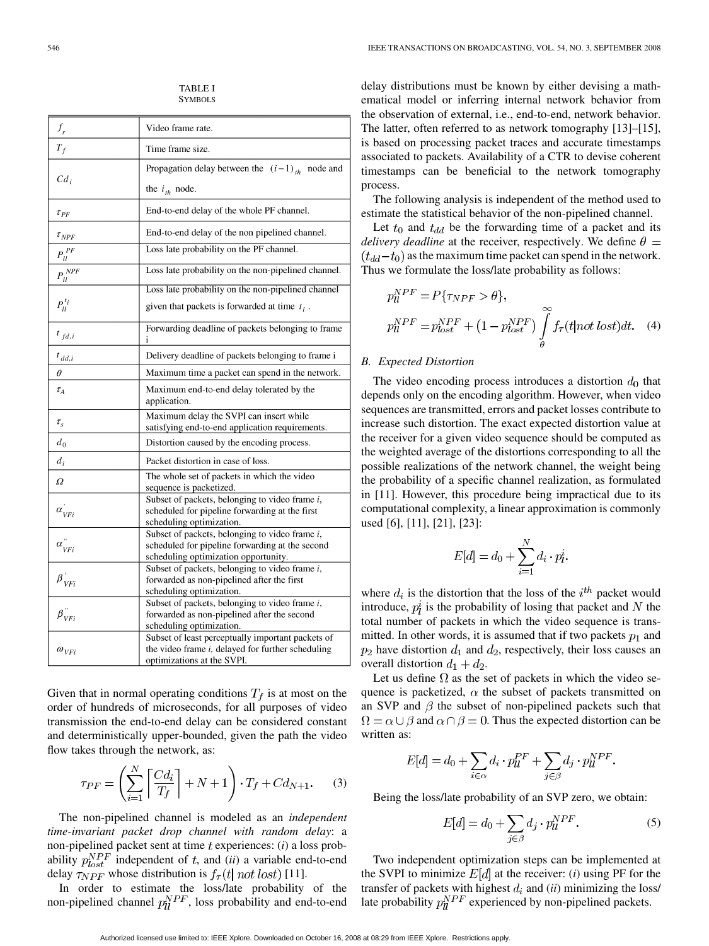TABLE I SYMBOLS

| $f_r^{\phantom{\dagger}}$          | Video frame rate.                                                                                    |
|------------------------------------|------------------------------------------------------------------------------------------------------|
| $T_f$                              | Time frame size.                                                                                     |
| Cd <sub>i</sub>                    | Propagation delay between the $(i-1)_{th}$ node and                                                  |
|                                    | the $i_{th}$ node.                                                                                   |
| $\tau_{PF}$                        | End-to-end delay of the whole PF channel.                                                            |
| $\tau_{\mathit{NPF}}$              | End-to-end delay of the non pipelined channel.                                                       |
|                                    | Loss late probability on the PF channel.                                                             |
| $\frac{P_{ll}^{PF}}{P_{ll}^{NPF}}$ | Loss late probability on the non-pipelined channel.                                                  |
|                                    | Loss late probability on the non-pipelined channel                                                   |
| $P_{ll}^{t_i}$                     | given that packets is forwarded at time $t_i$ .                                                      |
| $t_{fd,i}$                         | Forwarding deadline of packets belonging to frame                                                    |
| $t_{dd,i}$                         | Delivery deadline of packets belonging to frame i                                                    |
| $\theta$                           | Maximum time a packet can spend in the network.                                                      |
| $\tau_A$                           | Maximum end-to-end delay tolerated by the<br>application.                                            |
| $\tau_{s}$                         | Maximum delay the SVPI can insert while<br>satisfying end-to-end application requirements.           |
| $d_0$                              | Distortion caused by the encoding process.                                                           |
| $d_i$                              | Packet distortion in case of loss.                                                                   |
| Ω                                  | The whole set of packets in which the video<br>sequence is packetized.                               |
| $\alpha_{VFi}^{'}$                 | Subset of packets, belonging to video frame i,<br>scheduled for pipeline forwarding at the first     |
|                                    | scheduling optimization.                                                                             |
| $\alpha^{''}_{VFi}$                | Subset of packets, belonging to video frame $i$ ,<br>scheduled for pipeline forwarding at the second |
|                                    | scheduling optimization opportunity.                                                                 |
|                                    | Subset of packets, belonging to video frame i,                                                       |
| $\beta_{\sqrt{Fi}}^{'}$            | forwarded as non-pipelined after the first<br>scheduling optimization.                               |
| $\beta^{''}_{VFi}$                 | Subset of packets, belonging to video frame $i$ ,                                                    |
|                                    | forwarded as non-pipelined after the second<br>scheduling optimization.                              |
|                                    | Subset of least perceptually important packets of                                                    |
| $\omega_{VFi}$                     | the video frame $i$ , delayed for further scheduling                                                 |
|                                    | optimizations at the SVPI.                                                                           |

Given that in normal operating conditions  $T_f$  is at most on the order of hundreds of microseconds, for all purposes of video transmission the end-to-end delay can be considered constant and deterministically upper-bounded, given the path the video flow takes through the network, as:

$$
\tau_{PF} = \left(\sum_{i=1}^{N} \left\lceil \frac{Cd_i}{T_f} \right\rceil + N + 1\right) \cdot T_f + Cd_{N+1}.\tag{3}
$$

The non-pipelined channel is modeled as an *independent time-invariant packet drop channel with random delay*: a non-pipelined packet sent at time  $t$  experiences:  $(i)$  a loss probability  $p_{lost}^{NPF}$  independent of t, and *(ii)* a variable end-to-end delay  $\tau_{NPF}$  whose distribution is  $f_{\tau}(t \mid not \; lost)$  [11].

In order to estimate the loss/late probability of the non-pipelined channel  $p_{ll}^{NPF}$ , loss probability and end-to-end

delay distributions must be known by either devising a mathematical model or inferring internal network behavior from the observation of external, i.e., end-to-end, network behavior. The latter, often referred to as network tomography [13]–[15], is based on processing packet traces and accurate timestamps associated to packets. Availability of a CTR to devise coherent timestamps can be beneficial to the network tomography process.

The following analysis is independent of the method used to estimate the statistical behavior of the non-pipelined channel.

Let  $t_0$  and  $t_{dd}$  be the forwarding time of a packet and its *delivery deadline* at the receiver, respectively. We define  $\theta =$  $(t_{dd}-t_0)$  as the maximum time packet can spend in the network. Thus we formulate the loss/late probability as follows:

$$
p_{ll}^{NPF} = P\{\tau_{NPF} > \theta\},
$$
  
\n
$$
p_{ll}^{NPF} = p_{lost}^{NPF} + (1 - p_{lost}^{NPF}) \int_{\theta}^{\infty} f_{\tau}(t | not \, lost) dt. \quad (4)
$$

## *B. Expected Distortion*

The video encoding process introduces a distortion  $d_0$  that depends only on the encoding algorithm. However, when video sequences are transmitted, errors and packet losses contribute to increase such distortion. The exact expected distortion value at the receiver for a given video sequence should be computed as the weighted average of the distortions corresponding to all the possible realizations of the network channel, the weight being the probability of a specific channel realization, as formulated in [11]. However, this procedure being impractical due to its computational complexity, a linear approximation is commonly used [6], [11], [21], [23]:

$$
E[d] = d_0 + \sum_{i=1}^{N} d_i \cdot p_l^i.
$$

where  $d_i$  is the distortion that the loss of the  $i^{th}$  packet would introduce,  $p_l^i$  is the probability of losing that packet and N the total number of packets in which the video sequence is transmitted. In other words, it is assumed that if two packets  $p_1$  and  $p_2$  have distortion  $d_1$  and  $d_2$ , respectively, their loss causes an overall distortion  $d_1 + d_2$ .

Let us define  $\Omega$  as the set of packets in which the video sequence is packetized,  $\alpha$  the subset of packets transmitted on an SVP and  $\beta$  the subset of non-pipelined packets such that  $\Omega = \alpha \cup \beta$  and  $\alpha \cap \beta = 0$ . Thus the expected distortion can be written as:

$$
E[d] = d_0 + \sum_{i \in \alpha} d_i \cdot p_{\mathcal{U}}^{PF} + \sum_{j \in \beta} d_j \cdot p_{\mathcal{U}}^{NPF}.
$$

Being the loss/late probability of an SVP zero, we obtain:

$$
E[d] = d_0 + \sum_{j \in \beta} d_j \cdot p_{ll}^{NPF}.
$$
 (5)

Two independent optimization steps can be implemented at the SVPI to minimize  $E[d]$  at the receiver: (*i*) using PF for the transfer of packets with highest  $d_i$  and  $(ii)$  minimizing the loss/ late probability  $p_{ll}^{NPF}$  experienced by non-pipelined packets.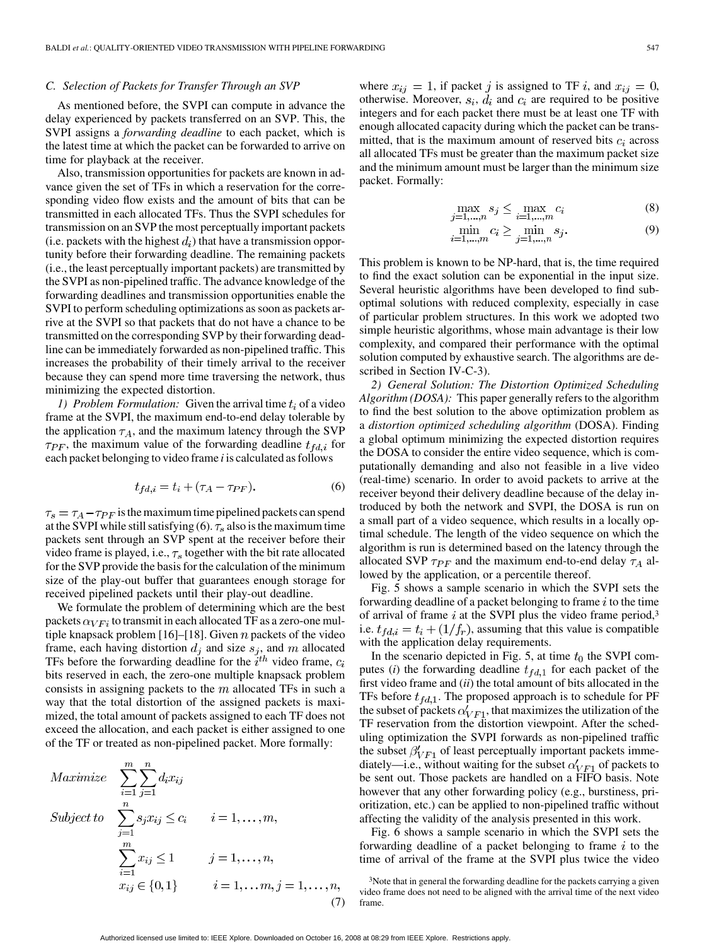## *C. Selection of Packets for Transfer Through an SVP*

As mentioned before, the SVPI can compute in advance the delay experienced by packets transferred on an SVP. This, the SVPI assigns a *forwarding deadline* to each packet, which is the latest time at which the packet can be forwarded to arrive on time for playback at the receiver.

Also, transmission opportunities for packets are known in advance given the set of TFs in which a reservation for the corresponding video flow exists and the amount of bits that can be transmitted in each allocated TFs. Thus the SVPI schedules for transmission on an SVP the most perceptually important packets (i.e. packets with the highest  $d_i$ ) that have a transmission opportunity before their forwarding deadline. The remaining packets (i.e., the least perceptually important packets) are transmitted by the SVPI as non-pipelined traffic. The advance knowledge of the forwarding deadlines and transmission opportunities enable the SVPI to perform scheduling optimizations as soon as packets arrive at the SVPI so that packets that do not have a chance to be transmitted on the corresponding SVP by their forwarding deadline can be immediately forwarded as non-pipelined traffic. This increases the probability of their timely arrival to the receiver because they can spend more time traversing the network, thus minimizing the expected distortion.

*1) Problem Formulation:* Given the arrival time  $t_i$  of a video frame at the SVPI, the maximum end-to-end delay tolerable by the application  $\tau_A$ , and the maximum latency through the SVP  $\tau_{PF}$ , the maximum value of the forwarding deadline  $t_{fd,i}$  for each packet belonging to video frame *i* is calculated as follows

$$
t_{fd,i} = t_i + (\tau_A - \tau_{PF}).\tag{6}
$$

 $\tau_s = \tau_A - \tau_{PF}$  is the maximum time pipelined packets can spend at the SVPI while still satisfying (6).  $\tau_s$  also is the maximum time packets sent through an SVP spent at the receiver before their video frame is played, i.e.,  $\tau_s$  together with the bit rate allocated for the SVP provide the basis for the calculation of the minimum size of the play-out buffer that guarantees enough storage for received pipelined packets until their play-out deadline.

We formulate the problem of determining which are the best packets  $\alpha_{VFi}$  to transmit in each allocated TF as a zero-one multiple knapsack problem [16]–[18]. Given  $n$  packets of the video frame, each having distortion  $d_i$  and size  $s_i$ , and m allocated TFs before the forwarding deadline for the  $i<sup>th</sup>$  video frame, bits reserved in each, the zero-one multiple knapsack problem consists in assigning packets to the  $m$  allocated TFs in such a way that the total distortion of the assigned packets is maximized, the total amount of packets assigned to each TF does not exceed the allocation, and each packet is either assigned to one of the TF or treated as non-pipelined packet. More formally:

$$
Maximize \sum_{i=1}^{m} \sum_{j=1}^{n} d_i x_{ij}
$$
  
\n
$$
Subject to \sum_{j=1}^{n} s_j x_{ij} \le c_i \qquad i = 1, ..., m,
$$
  
\n
$$
\sum_{i=1}^{m} x_{ij} \le 1 \qquad j = 1, ..., n,
$$
  
\n
$$
x_{ij} \in \{0, 1\} \qquad i = 1, ..., m, j = 1, ..., n,
$$
  
\n(7)

where  $x_{ij} = 1$ , if packet j is assigned to TF i, and  $x_{ij} = 0$ , otherwise. Moreover,  $s_i$ ,  $d_i$  and  $c_i$  are required to be positive integers and for each packet there must be at least one TF with enough allocated capacity during which the packet can be transmitted, that is the maximum amount of reserved bits  $c_i$  across all allocated TFs must be greater than the maximum packet size and the minimum amount must be larger than the minimum size packet. Formally:

$$
\max_{j=1,\dots,n} s_j \le \max_{i=1,\dots,m} c_i \tag{8}
$$

$$
\min_{i=1,\dots,m} c_i \ge \min_{j=1,\dots,n} s_j.
$$
 (9)

This problem is known to be NP-hard, that is, the time required to find the exact solution can be exponential in the input size. Several heuristic algorithms have been developed to find suboptimal solutions with reduced complexity, especially in case of particular problem structures. In this work we adopted two simple heuristic algorithms, whose main advantage is their low complexity, and compared their performance with the optimal solution computed by exhaustive search. The algorithms are described in Section IV-C-3).

*2) General Solution: The Distortion Optimized Scheduling Algorithm (DOSA):* This paper generally refers to the algorithm to find the best solution to the above optimization problem as a *distortion optimized scheduling algorithm* (DOSA). Finding a global optimum minimizing the expected distortion requires the DOSA to consider the entire video sequence, which is computationally demanding and also not feasible in a live video (real-time) scenario. In order to avoid packets to arrive at the receiver beyond their delivery deadline because of the delay introduced by both the network and SVPI, the DOSA is run on a small part of a video sequence, which results in a locally optimal schedule. The length of the video sequence on which the algorithm is run is determined based on the latency through the allocated SVP  $\tau_{PF}$  and the maximum end-to-end delay  $\tau_A$  allowed by the application, or a percentile thereof.

Fig. 5 shows a sample scenario in which the SVPI sets the forwarding deadline of a packet belonging to frame  $i$  to the time of arrival of frame  $i$  at the SVPI plus the video frame period,<sup>3</sup> i.e.  $t_{fd,i} = t_i + (1/f_r)$ , assuming that this value is compatible with the application delay requirements.

In the scenario depicted in Fig. 5, at time  $t_0$  the SVPI computes (*i*) the forwarding deadline  $t_{fd,1}$  for each packet of the first video frame and (*ii*) the total amount of bits allocated in the TFs before  $t_{fd,1}$ . The proposed approach is to schedule for PF the subset of packets  $\alpha'_{VF1}$ , that maximizes the utilization of the TF reservation from the distortion viewpoint. After the scheduling optimization the SVPI forwards as non-pipelined traffic the subset  $\beta'_{VF1}$  of least perceptually important packets immediately—i.e., without waiting for the subset  $\alpha'_{VF1}$  of packets to be sent out. Those packets are handled on a FIFO basis. Note however that any other forwarding policy (e.g., burstiness, prioritization, etc.) can be applied to non-pipelined traffic without affecting the validity of the analysis presented in this work.

Fig. 6 shows a sample scenario in which the SVPI sets the forwarding deadline of a packet belonging to frame  $i$  to the time of arrival of the frame at the SVPI plus twice the video

<sup>3</sup>Note that in general the forwarding deadline for the packets carrying a given video frame does not need to be aligned with the arrival time of the next video frame.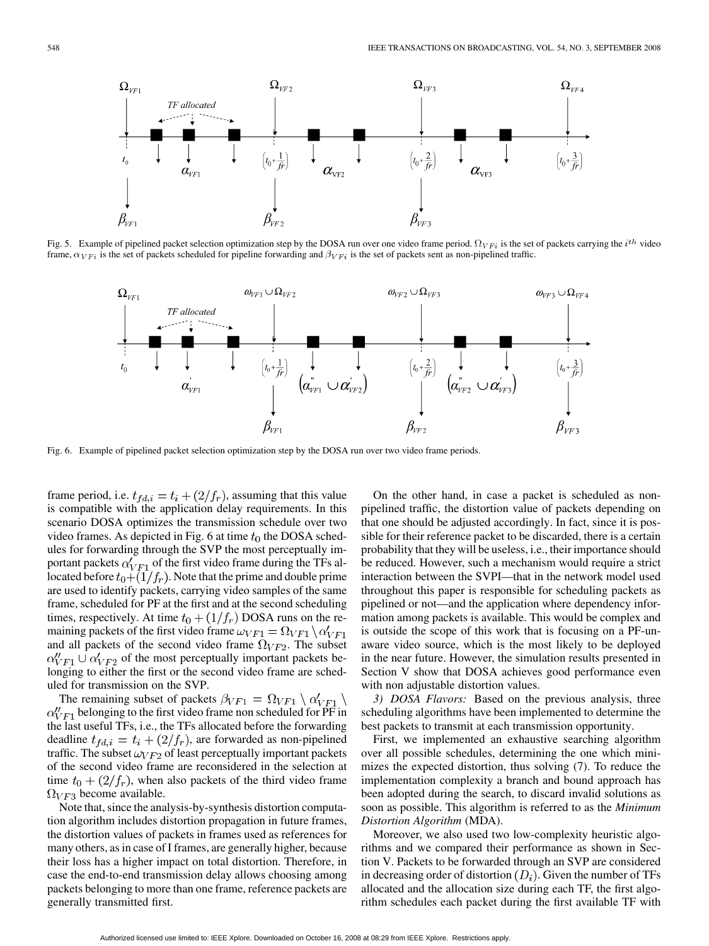

Fig. 5. Example of pipelined packet selection optimization step by the DOSA run over one video frame period.  $\Omega_{VF}$  is the set of packets carrying the *i*<sup>th</sup> video frame,  $\alpha_{VFi}$  is the set of packets scheduled for pipeline forwarding and  $\beta_{VFi}$  is the set of packets sent as non-pipelined traffic.



Fig. 6. Example of pipelined packet selection optimization step by the DOSA run over two video frame periods.

frame period, i.e.  $t_{fd,i} = t_i + (2/f_r)$ , assuming that this value is compatible with the application delay requirements. In this scenario DOSA optimizes the transmission schedule over two video frames. As depicted in Fig. 6 at time  $t_0$  the DOSA schedules for forwarding through the SVP the most perceptually important packets  $\alpha'_{VF1}$  of the first video frame during the TFs allocated before  $t_0+(1/f_r)$ . Note that the prime and double prime are used to identify packets, carrying video samples of the same frame, scheduled for PF at the first and at the second scheduling times, respectively. At time  $t_0 + (1/f_r)$  DOSA runs on the remaining packets of the first video frame  $\omega_{VF1} = \Omega_{VF1} \setminus \alpha'_{VF1}$ and all packets of the second video frame  $\Omega_{VF2}$ . The subset  $\alpha_{VF1}'' \cup \alpha_{VF2}'$  of the most perceptually important packets belonging to either the first or the second video frame are scheduled for transmission on the SVP.

The remaining subset of packets  $\beta_{VF1} = \Omega_{VF1} \setminus \alpha'_{VF1}$ .  $\alpha_{VF1}''$  belonging to the first video frame non scheduled for PF in the last useful TFs, i.e., the TFs allocated before the forwarding deadline  $t_{fd,i} = t_i + (2/f_r)$ , are forwarded as non-pipelined traffic. The subset  $\omega_{VF2}$  of least perceptually important packets of the second video frame are reconsidered in the selection at time  $t_0 + (2/f_r)$ , when also packets of the third video frame  $\Omega_{VF3}$  become available.

Note that, since the analysis-by-synthesis distortion computation algorithm includes distortion propagation in future frames, the distortion values of packets in frames used as references for many others, as in case of I frames, are generally higher, because their loss has a higher impact on total distortion. Therefore, in case the end-to-end transmission delay allows choosing among packets belonging to more than one frame, reference packets are generally transmitted first.

On the other hand, in case a packet is scheduled as nonpipelined traffic, the distortion value of packets depending on that one should be adjusted accordingly. In fact, since it is possible for their reference packet to be discarded, there is a certain probability that they will be useless, i.e., their importance should be reduced. However, such a mechanism would require a strict interaction between the SVPI—that in the network model used throughout this paper is responsible for scheduling packets as pipelined or not—and the application where dependency information among packets is available. This would be complex and is outside the scope of this work that is focusing on a PF-unaware video source, which is the most likely to be deployed in the near future. However, the simulation results presented in Section V show that DOSA achieves good performance even with non adjustable distortion values.

*3) DOSA Flavors:* Based on the previous analysis, three scheduling algorithms have been implemented to determine the best packets to transmit at each transmission opportunity.

First, we implemented an exhaustive searching algorithm over all possible schedules, determining the one which minimizes the expected distortion, thus solving (7). To reduce the implementation complexity a branch and bound approach has been adopted during the search, to discard invalid solutions as soon as possible. This algorithm is referred to as the *Minimum Distortion Algorithm* (MDA).

Moreover, we also used two low-complexity heuristic algorithms and we compared their performance as shown in Section V. Packets to be forwarded through an SVP are considered in decreasing order of distortion  $(D_i)$ . Given the number of TFs allocated and the allocation size during each TF, the first algorithm schedules each packet during the first available TF with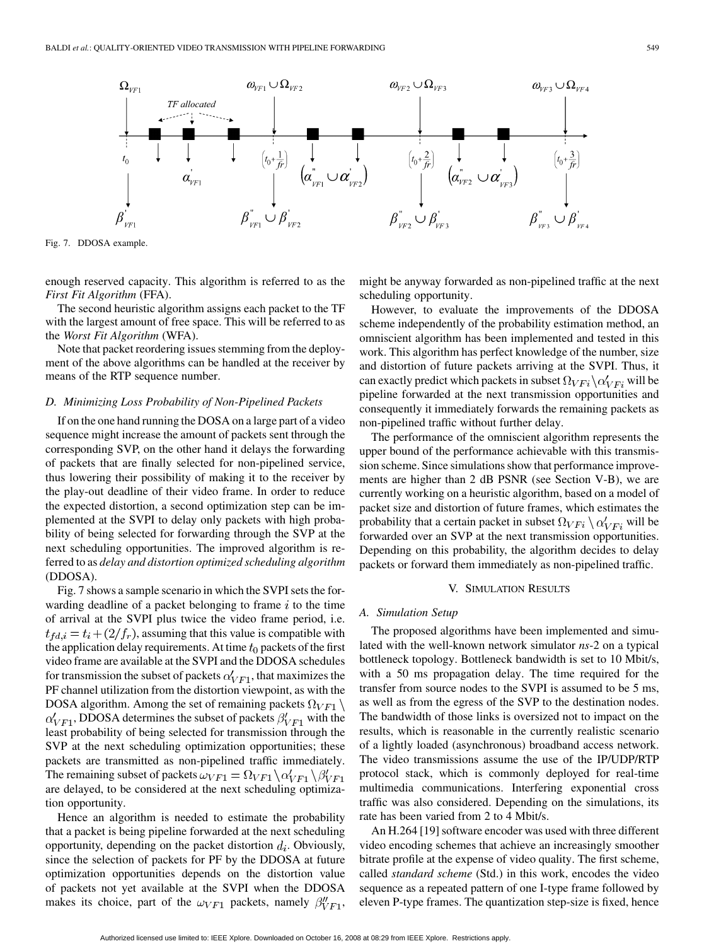

Fig. 7. DDOSA example.

enough reserved capacity. This algorithm is referred to as the *First Fit Algorithm* (FFA).

The second heuristic algorithm assigns each packet to the TF with the largest amount of free space. This will be referred to as the *Worst Fit Algorithm* (WFA).

Note that packet reordering issues stemming from the deployment of the above algorithms can be handled at the receiver by means of the RTP sequence number.

#### *D. Minimizing Loss Probability of Non-Pipelined Packets*

If on the one hand running the DOSA on a large part of a video sequence might increase the amount of packets sent through the corresponding SVP, on the other hand it delays the forwarding of packets that are finally selected for non-pipelined service, thus lowering their possibility of making it to the receiver by the play-out deadline of their video frame. In order to reduce the expected distortion, a second optimization step can be implemented at the SVPI to delay only packets with high probability of being selected for forwarding through the SVP at the next scheduling opportunities. The improved algorithm is referred to as *delay and distortion optimized scheduling algorithm* (DDOSA).

Fig. 7 shows a sample scenario in which the SVPI sets the forwarding deadline of a packet belonging to frame  $i$  to the time of arrival at the SVPI plus twice the video frame period, i.e.  $t_{fd,i} = t_i + (2/f_r)$ , assuming that this value is compatible with the application delay requirements. At time  $t_0$  packets of the first video frame are available at the SVPI and the DDOSA schedules for transmission the subset of packets  $\alpha'_{VF1}$ , that maximizes the PF channel utilization from the distortion viewpoint, as with the DOSA algorithm. Among the set of remaining packets  $\Omega_{VF1} \setminus$  $\alpha'_{VF1}$ , DDOSA determines the subset of packets  $\beta'_{VF1}$  with the least probability of being selected for transmission through the SVP at the next scheduling optimization opportunities; these packets are transmitted as non-pipelined traffic immediately. The remaining subset of packets  $\omega_{VF1} = \Omega_{VF1} \setminus \alpha'_{VF1} \setminus \beta'_{VF1}$ are delayed, to be considered at the next scheduling optimization opportunity.

Hence an algorithm is needed to estimate the probability that a packet is being pipeline forwarded at the next scheduling opportunity, depending on the packet distortion  $d_i$ . Obviously, since the selection of packets for PF by the DDOSA at future optimization opportunities depends on the distortion value of packets not yet available at the SVPI when the DDOSA makes its choice, part of the  $\omega_{VF1}$  packets, namely  $\beta''_{VF1}$ ,

might be anyway forwarded as non-pipelined traffic at the next scheduling opportunity.

However, to evaluate the improvements of the DDOSA scheme independently of the probability estimation method, an omniscient algorithm has been implemented and tested in this work. This algorithm has perfect knowledge of the number, size and distortion of future packets arriving at the SVPI. Thus, it can exactly predict which packets in subset  $\Omega_{VFi} \backslash \alpha'_{VFi}$  will be pipeline forwarded at the next transmission opportunities and consequently it immediately forwards the remaining packets as non-pipelined traffic without further delay.

The performance of the omniscient algorithm represents the upper bound of the performance achievable with this transmission scheme. Since simulations show that performance improvements are higher than 2 dB PSNR (see Section V-B), we are currently working on a heuristic algorithm, based on a model of packet size and distortion of future frames, which estimates the probability that a certain packet in subset  $\Omega_{VFi} \setminus \alpha'_{VFi}$  will be forwarded over an SVP at the next transmission opportunities. Depending on this probability, the algorithm decides to delay packets or forward them immediately as non-pipelined traffic.

## V. SIMULATION RESULTS

### *A. Simulation Setup*

The proposed algorithms have been implemented and simulated with the well-known network simulator *ns*-2 on a typical bottleneck topology. Bottleneck bandwidth is set to 10 Mbit/s, with a 50 ms propagation delay. The time required for the transfer from source nodes to the SVPI is assumed to be 5 ms, as well as from the egress of the SVP to the destination nodes. The bandwidth of those links is oversized not to impact on the results, which is reasonable in the currently realistic scenario of a lightly loaded (asynchronous) broadband access network. The video transmissions assume the use of the IP/UDP/RTP protocol stack, which is commonly deployed for real-time multimedia communications. Interfering exponential cross traffic was also considered. Depending on the simulations, its rate has been varied from 2 to 4 Mbit/s.

An H.264 [19] software encoder was used with three different video encoding schemes that achieve an increasingly smoother bitrate profile at the expense of video quality. The first scheme, called *standard scheme* (Std.) in this work, encodes the video sequence as a repeated pattern of one I-type frame followed by eleven P-type frames. The quantization step-size is fixed, hence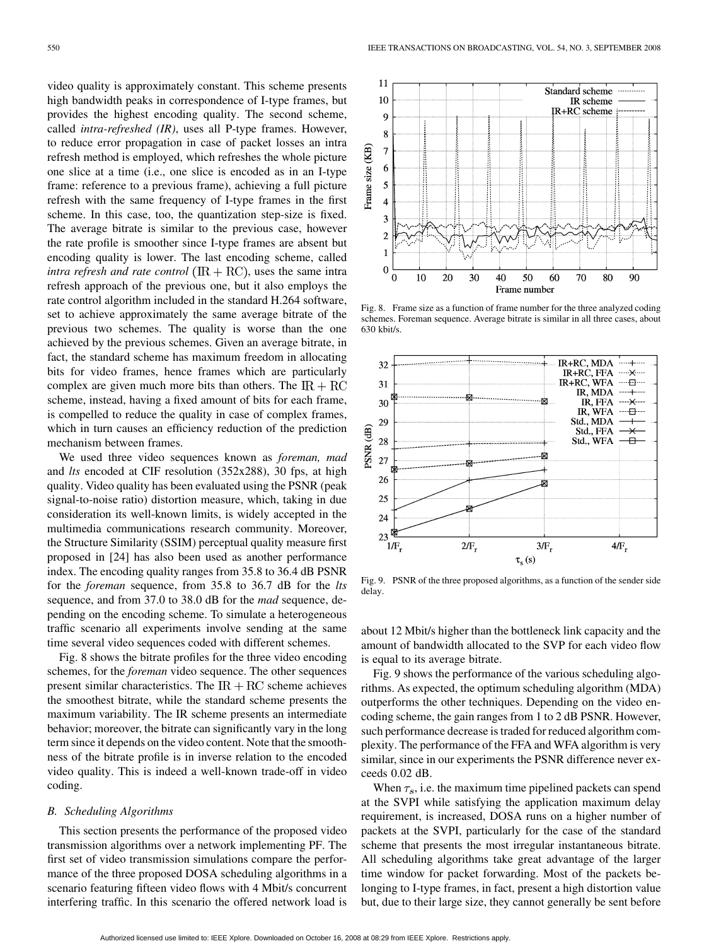video quality is approximately constant. This scheme presents high bandwidth peaks in correspondence of I-type frames, but provides the highest encoding quality. The second scheme, called *intra-refreshed (IR)*, uses all P-type frames. However, to reduce error propagation in case of packet losses an intra refresh method is employed, which refreshes the whole picture one slice at a time (i.e., one slice is encoded as in an I-type frame: reference to a previous frame), achieving a full picture refresh with the same frequency of I-type frames in the first scheme. In this case, too, the quantization step-size is fixed. The average bitrate is similar to the previous case, however the rate profile is smoother since I-type frames are absent but encoding quality is lower. The last encoding scheme, called *intra refresh and rate control* ( $IR + RC$ ), uses the same intra refresh approach of the previous one, but it also employs the rate control algorithm included in the standard H.264 software, set to achieve approximately the same average bitrate of the previous two schemes. The quality is worse than the one achieved by the previous schemes. Given an average bitrate, in fact, the standard scheme has maximum freedom in allocating bits for video frames, hence frames which are particularly complex are given much more bits than others. The  $IR + RC$ scheme, instead, having a fixed amount of bits for each frame, is compelled to reduce the quality in case of complex frames, which in turn causes an efficiency reduction of the prediction mechanism between frames.

We used three video sequences known as *foreman, mad* and *lts* encoded at CIF resolution (352x288), 30 fps, at high quality. Video quality has been evaluated using the PSNR (peak signal-to-noise ratio) distortion measure, which, taking in due consideration its well-known limits, is widely accepted in the multimedia communications research community. Moreover, the Structure Similarity (SSIM) perceptual quality measure first proposed in [24] has also been used as another performance index. The encoding quality ranges from 35.8 to 36.4 dB PSNR for the *foreman* sequence, from 35.8 to 36.7 dB for the *lts* sequence, and from 37.0 to 38.0 dB for the *mad* sequence, depending on the encoding scheme. To simulate a heterogeneous traffic scenario all experiments involve sending at the same time several video sequences coded with different schemes.

Fig. 8 shows the bitrate profiles for the three video encoding schemes, for the *foreman* video sequence. The other sequences present similar characteristics. The  $IR + RC$  scheme achieves the smoothest bitrate, while the standard scheme presents the maximum variability. The IR scheme presents an intermediate behavior; moreover, the bitrate can significantly vary in the long term since it depends on the video content. Note that the smoothness of the bitrate profile is in inverse relation to the encoded video quality. This is indeed a well-known trade-off in video coding.

#### *B. Scheduling Algorithms*

This section presents the performance of the proposed video transmission algorithms over a network implementing PF. The first set of video transmission simulations compare the performance of the three proposed DOSA scheduling algorithms in a scenario featuring fifteen video flows with 4 Mbit/s concurrent interfering traffic. In this scenario the offered network load is



Fig. 8. Frame size as a function of frame number for the three analyzed coding schemes. Foreman sequence. Average bitrate is similar in all three cases, about 630 kbit/s.



Fig. 9. PSNR of the three proposed algorithms, as a function of the sender side delay.

about 12 Mbit/s higher than the bottleneck link capacity and the amount of bandwidth allocated to the SVP for each video flow is equal to its average bitrate.

Fig. 9 shows the performance of the various scheduling algorithms. As expected, the optimum scheduling algorithm (MDA) outperforms the other techniques. Depending on the video encoding scheme, the gain ranges from 1 to 2 dB PSNR. However, such performance decrease is traded for reduced algorithm complexity. The performance of the FFA and WFA algorithm is very similar, since in our experiments the PSNR difference never exceeds 0.02 dB.

When  $\tau_s$ , i.e. the maximum time pipelined packets can spend at the SVPI while satisfying the application maximum delay requirement, is increased, DOSA runs on a higher number of packets at the SVPI, particularly for the case of the standard scheme that presents the most irregular instantaneous bitrate. All scheduling algorithms take great advantage of the larger time window for packet forwarding. Most of the packets belonging to I-type frames, in fact, present a high distortion value but, due to their large size, they cannot generally be sent before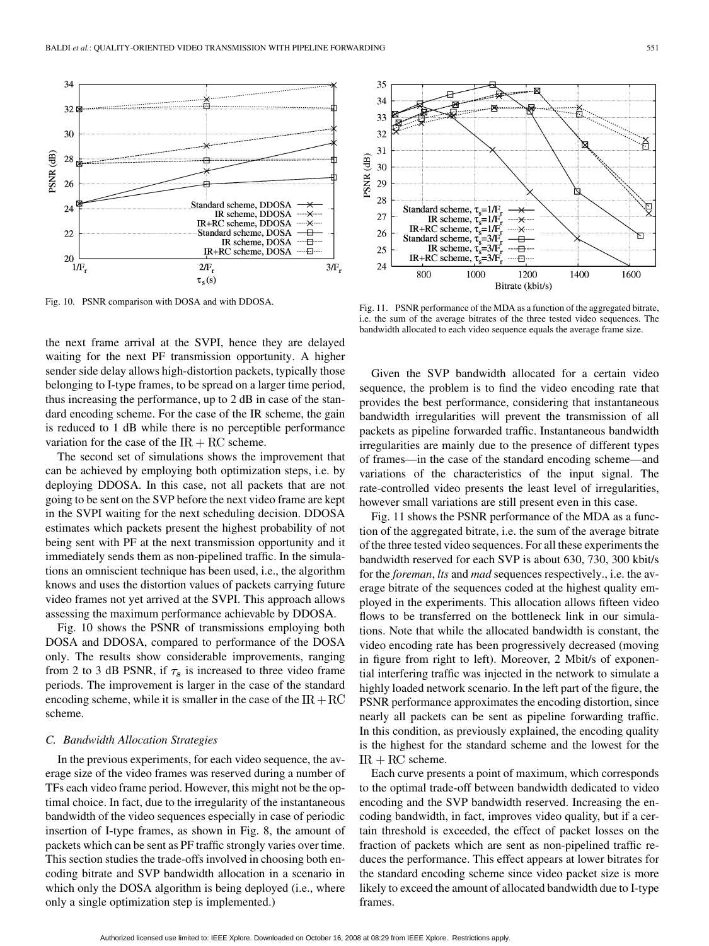

Fig. 10. PSNR comparison with DOSA and with DDOSA.

the next frame arrival at the SVPI, hence they are delayed waiting for the next PF transmission opportunity. A higher sender side delay allows high-distortion packets, typically those belonging to I-type frames, to be spread on a larger time period, thus increasing the performance, up to 2 dB in case of the standard encoding scheme. For the case of the IR scheme, the gain is reduced to 1 dB while there is no perceptible performance variation for the case of the  $IR + RC$  scheme.

The second set of simulations shows the improvement that can be achieved by employing both optimization steps, i.e. by deploying DDOSA. In this case, not all packets that are not going to be sent on the SVP before the next video frame are kept in the SVPI waiting for the next scheduling decision. DDOSA estimates which packets present the highest probability of not being sent with PF at the next transmission opportunity and it immediately sends them as non-pipelined traffic. In the simulations an omniscient technique has been used, i.e., the algorithm knows and uses the distortion values of packets carrying future video frames not yet arrived at the SVPI. This approach allows assessing the maximum performance achievable by DDOSA.

Fig. 10 shows the PSNR of transmissions employing both DOSA and DDOSA, compared to performance of the DOSA only. The results show considerable improvements, ranging from 2 to 3 dB PSNR, if  $\tau_s$  is increased to three video frame periods. The improvement is larger in the case of the standard encoding scheme, while it is smaller in the case of the  $IR + RC$ scheme.

#### *C. Bandwidth Allocation Strategies*

In the previous experiments, for each video sequence, the average size of the video frames was reserved during a number of TFs each video frame period. However, this might not be the optimal choice. In fact, due to the irregularity of the instantaneous bandwidth of the video sequences especially in case of periodic insertion of I-type frames, as shown in Fig. 8, the amount of packets which can be sent as PF traffic strongly varies over time. This section studies the trade-offs involved in choosing both encoding bitrate and SVP bandwidth allocation in a scenario in which only the DOSA algorithm is being deployed (i.e., where only a single optimization step is implemented.)



Fig. 11. PSNR performance of the MDA as a function of the aggregated bitrate, i.e. the sum of the average bitrates of the three tested video sequences. The bandwidth allocated to each video sequence equals the average frame size.

Given the SVP bandwidth allocated for a certain video sequence, the problem is to find the video encoding rate that provides the best performance, considering that instantaneous bandwidth irregularities will prevent the transmission of all packets as pipeline forwarded traffic. Instantaneous bandwidth irregularities are mainly due to the presence of different types of frames—in the case of the standard encoding scheme—and variations of the characteristics of the input signal. The rate-controlled video presents the least level of irregularities, however small variations are still present even in this case.

Fig. 11 shows the PSNR performance of the MDA as a function of the aggregated bitrate, i.e. the sum of the average bitrate of the three tested video sequences. For all these experiments the bandwidth reserved for each SVP is about 630, 730, 300 kbit/s for the *foreman*, *lts* and *mad* sequences respectively., i.e. the average bitrate of the sequences coded at the highest quality employed in the experiments. This allocation allows fifteen video flows to be transferred on the bottleneck link in our simulations. Note that while the allocated bandwidth is constant, the video encoding rate has been progressively decreased (moving in figure from right to left). Moreover, 2 Mbit/s of exponential interfering traffic was injected in the network to simulate a highly loaded network scenario. In the left part of the figure, the PSNR performance approximates the encoding distortion, since nearly all packets can be sent as pipeline forwarding traffic. In this condition, as previously explained, the encoding quality is the highest for the standard scheme and the lowest for the  $IR + RC$  scheme.

Each curve presents a point of maximum, which corresponds to the optimal trade-off between bandwidth dedicated to video encoding and the SVP bandwidth reserved. Increasing the encoding bandwidth, in fact, improves video quality, but if a certain threshold is exceeded, the effect of packet losses on the fraction of packets which are sent as non-pipelined traffic reduces the performance. This effect appears at lower bitrates for the standard encoding scheme since video packet size is more likely to exceed the amount of allocated bandwidth due to I-type frames.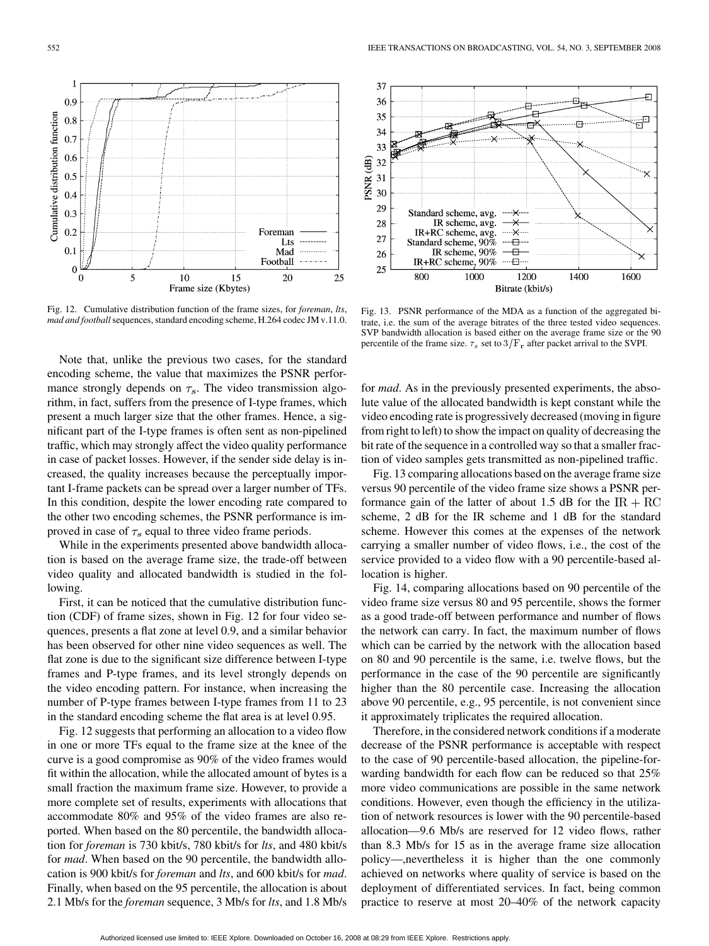

Fig. 12. Cumulative distribution function of the frame sizes, for *foreman*, *lts*, *mad and football*sequences, standard encoding scheme, H.264 codec JM v.11.0.

Note that, unlike the previous two cases, for the standard encoding scheme, the value that maximizes the PSNR performance strongly depends on  $\tau_s$ . The video transmission algorithm, in fact, suffers from the presence of I-type frames, which present a much larger size that the other frames. Hence, a significant part of the I-type frames is often sent as non-pipelined traffic, which may strongly affect the video quality performance in case of packet losses. However, if the sender side delay is increased, the quality increases because the perceptually important I-frame packets can be spread over a larger number of TFs. In this condition, despite the lower encoding rate compared to the other two encoding schemes, the PSNR performance is improved in case of  $\tau_s$  equal to three video frame periods.

While in the experiments presented above bandwidth allocation is based on the average frame size, the trade-off between video quality and allocated bandwidth is studied in the following.

First, it can be noticed that the cumulative distribution function (CDF) of frame sizes, shown in Fig. 12 for four video sequences, presents a flat zone at level 0.9, and a similar behavior has been observed for other nine video sequences as well. The flat zone is due to the significant size difference between I-type frames and P-type frames, and its level strongly depends on the video encoding pattern. For instance, when increasing the number of P-type frames between I-type frames from 11 to 23 in the standard encoding scheme the flat area is at level 0.95.

Fig. 12 suggests that performing an allocation to a video flow in one or more TFs equal to the frame size at the knee of the curve is a good compromise as 90% of the video frames would fit within the allocation, while the allocated amount of bytes is a small fraction the maximum frame size. However, to provide a more complete set of results, experiments with allocations that accommodate 80% and 95% of the video frames are also reported. When based on the 80 percentile, the bandwidth allocation for *foreman* is 730 kbit/s, 780 kbit/s for *lts*, and 480 kbit/s for *mad*. When based on the 90 percentile, the bandwidth allocation is 900 kbit/s for *foreman* and *lts*, and 600 kbit/s for *mad*. Finally, when based on the 95 percentile, the allocation is about 2.1 Mb/s for the *foreman* sequence, 3 Mb/s for *lts*, and 1.8 Mb/s



Fig. 13. PSNR performance of the MDA as a function of the aggregated bitrate, i.e. the sum of the average bitrates of the three tested video sequences. SVP bandwidth allocation is based either on the average frame size or the 90 percentile of the frame size.  $\tau_s$  set to  $3/F_r$  after packet arrival to the SVPI.

for *mad*. As in the previously presented experiments, the absolute value of the allocated bandwidth is kept constant while the video encoding rate is progressively decreased (moving in figure from right to left) to show the impact on quality of decreasing the bit rate of the sequence in a controlled way so that a smaller fraction of video samples gets transmitted as non-pipelined traffic.

Fig. 13 comparing allocations based on the average frame size versus 90 percentile of the video frame size shows a PSNR performance gain of the latter of about 1.5 dB for the  $IR + RC$ scheme, 2 dB for the IR scheme and 1 dB for the standard scheme. However this comes at the expenses of the network carrying a smaller number of video flows, i.e., the cost of the service provided to a video flow with a 90 percentile-based allocation is higher.

Fig. 14, comparing allocations based on 90 percentile of the video frame size versus 80 and 95 percentile, shows the former as a good trade-off between performance and number of flows the network can carry. In fact, the maximum number of flows which can be carried by the network with the allocation based on 80 and 90 percentile is the same, i.e. twelve flows, but the performance in the case of the 90 percentile are significantly higher than the 80 percentile case. Increasing the allocation above 90 percentile, e.g., 95 percentile, is not convenient since it approximately triplicates the required allocation.

Therefore, in the considered network conditions if a moderate decrease of the PSNR performance is acceptable with respect to the case of 90 percentile-based allocation, the pipeline-forwarding bandwidth for each flow can be reduced so that 25% more video communications are possible in the same network conditions. However, even though the efficiency in the utilization of network resources is lower with the 90 percentile-based allocation—9.6 Mb/s are reserved for 12 video flows, rather than 8.3 Mb/s for 15 as in the average frame size allocation policy—,nevertheless it is higher than the one commonly achieved on networks where quality of service is based on the deployment of differentiated services. In fact, being common practice to reserve at most 20–40% of the network capacity

1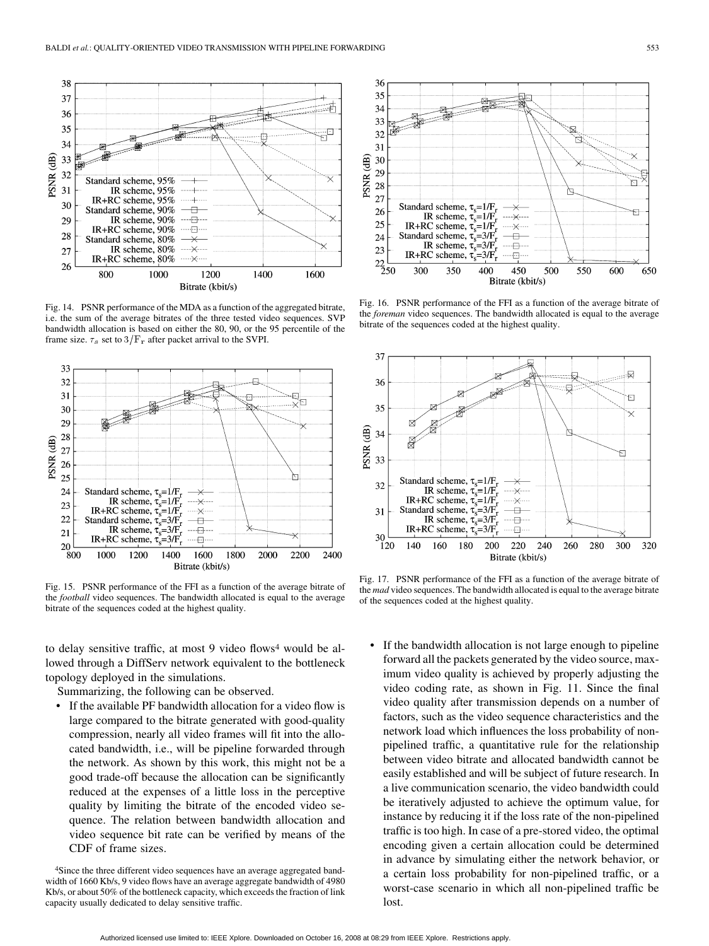

Fig. 14. PSNR performance of the MDA as a function of the aggregated bitrate, i.e. the sum of the average bitrates of the three tested video sequences. SVP bandwidth allocation is based on either the 80, 90, or the 95 percentile of the frame size.  $\tau_s$  set to  $3/F_r$  after packet arrival to the SVPI.



Fig. 15. PSNR performance of the FFI as a function of the average bitrate of the *football* video sequences. The bandwidth allocated is equal to the average bitrate of the sequences coded at the highest quality.

to delay sensitive traffic, at most 9 video flows<sup>4</sup> would be allowed through a DiffServ network equivalent to the bottleneck topology deployed in the simulations.

Summarizing, the following can be observed.

If the available PF bandwidth allocation for a video flow is large compared to the bitrate generated with good-quality compression, nearly all video frames will fit into the allocated bandwidth, i.e., will be pipeline forwarded through the network. As shown by this work, this might not be a good trade-off because the allocation can be significantly reduced at the expenses of a little loss in the perceptive quality by limiting the bitrate of the encoded video sequence. The relation between bandwidth allocation and video sequence bit rate can be verified by means of the CDF of frame sizes.



Fig. 16. PSNR performance of the FFI as a function of the average bitrate of the *foreman* video sequences. The bandwidth allocated is equal to the average bitrate of the sequences coded at the highest quality.



Fig. 17. PSNR performance of the FFI as a function of the average bitrate of the *mad* video sequences. The bandwidth allocated is equal to the average bitrate of the sequences coded at the highest quality.

• If the bandwidth allocation is not large enough to pipeline forward all the packets generated by the video source, maximum video quality is achieved by properly adjusting the video coding rate, as shown in Fig. 11. Since the final video quality after transmission depends on a number of factors, such as the video sequence characteristics and the network load which influences the loss probability of nonpipelined traffic, a quantitative rule for the relationship between video bitrate and allocated bandwidth cannot be easily established and will be subject of future research. In a live communication scenario, the video bandwidth could be iteratively adjusted to achieve the optimum value, for instance by reducing it if the loss rate of the non-pipelined traffic is too high. In case of a pre-stored video, the optimal encoding given a certain allocation could be determined in advance by simulating either the network behavior, or a certain loss probability for non-pipelined traffic, or a worst-case scenario in which all non-pipelined traffic be lost.

<sup>4</sup>Since the three different video sequences have an average aggregated bandwidth of 1660 Kb/s, 9 video flows have an average aggregate bandwidth of 4980 Kb/s, or about 50% of the bottleneck capacity, which exceeds the fraction of link capacity usually dedicated to delay sensitive traffic.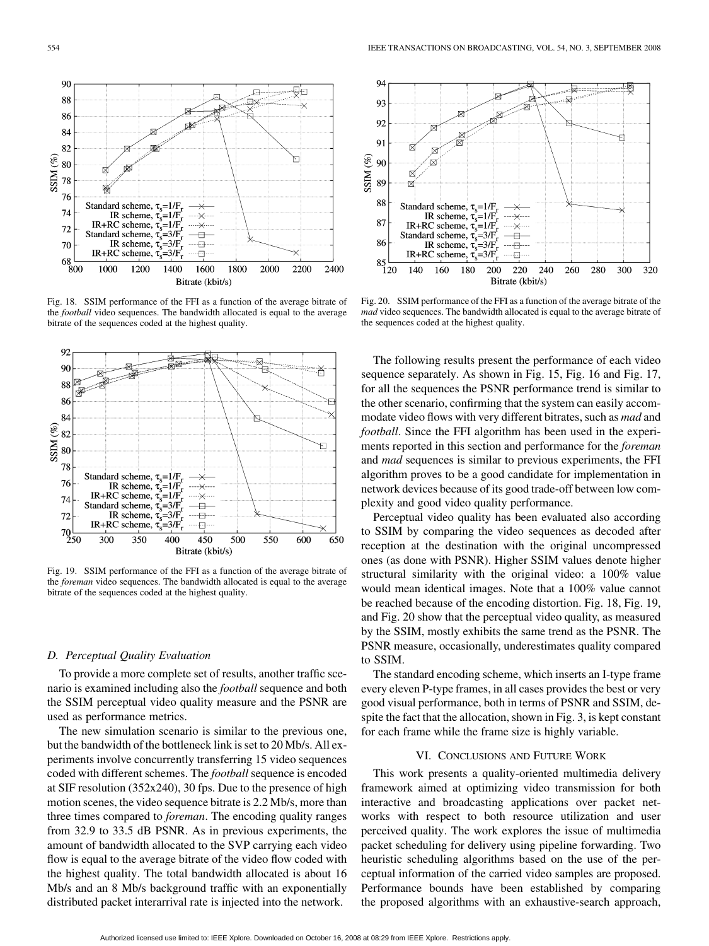

Fig. 18. SSIM performance of the FFI as a function of the average bitrate of the *football* video sequences. The bandwidth allocated is equal to the average bitrate of the sequences coded at the highest quality.



Fig. 19. SSIM performance of the FFI as a function of the average bitrate of the *foreman* video sequences. The bandwidth allocated is equal to the average bitrate of the sequences coded at the highest quality.

## *D. Perceptual Quality Evaluation*

To provide a more complete set of results, another traffic scenario is examined including also the *football* sequence and both the SSIM perceptual video quality measure and the PSNR are used as performance metrics.

The new simulation scenario is similar to the previous one, but the bandwidth of the bottleneck link is set to 20 Mb/s. All experiments involve concurrently transferring 15 video sequences coded with different schemes. The *football* sequence is encoded at SIF resolution (352x240), 30 fps. Due to the presence of high motion scenes, the video sequence bitrate is 2.2 Mb/s, more than three times compared to *foreman*. The encoding quality ranges from 32.9 to 33.5 dB PSNR. As in previous experiments, the amount of bandwidth allocated to the SVP carrying each video flow is equal to the average bitrate of the video flow coded with the highest quality. The total bandwidth allocated is about 16 Mb/s and an 8 Mb/s background traffic with an exponentially distributed packet interarrival rate is injected into the network.



Fig. 20. SSIM performance of the FFI as a function of the average bitrate of the *mad* video sequences. The bandwidth allocated is equal to the average bitrate of the sequences coded at the highest quality.

The following results present the performance of each video sequence separately. As shown in Fig. 15, Fig. 16 and Fig. 17, for all the sequences the PSNR performance trend is similar to the other scenario, confirming that the system can easily accommodate video flows with very different bitrates, such as *mad* and *football*. Since the FFI algorithm has been used in the experiments reported in this section and performance for the *foreman* and *mad* sequences is similar to previous experiments, the FFI algorithm proves to be a good candidate for implementation in network devices because of its good trade-off between low complexity and good video quality performance.

Perceptual video quality has been evaluated also according to SSIM by comparing the video sequences as decoded after reception at the destination with the original uncompressed ones (as done with PSNR). Higher SSIM values denote higher structural similarity with the original video: a 100% value would mean identical images. Note that a 100% value cannot be reached because of the encoding distortion. Fig. 18, Fig. 19, and Fig. 20 show that the perceptual video quality, as measured by the SSIM, mostly exhibits the same trend as the PSNR. The PSNR measure, occasionally, underestimates quality compared to SSIM.

The standard encoding scheme, which inserts an I-type frame every eleven P-type frames, in all cases provides the best or very good visual performance, both in terms of PSNR and SSIM, despite the fact that the allocation, shown in Fig. 3, is kept constant for each frame while the frame size is highly variable.

#### VI. CONCLUSIONS AND FUTURE WORK

This work presents a quality-oriented multimedia delivery framework aimed at optimizing video transmission for both interactive and broadcasting applications over packet networks with respect to both resource utilization and user perceived quality. The work explores the issue of multimedia packet scheduling for delivery using pipeline forwarding. Two heuristic scheduling algorithms based on the use of the perceptual information of the carried video samples are proposed. Performance bounds have been established by comparing the proposed algorithms with an exhaustive-search approach,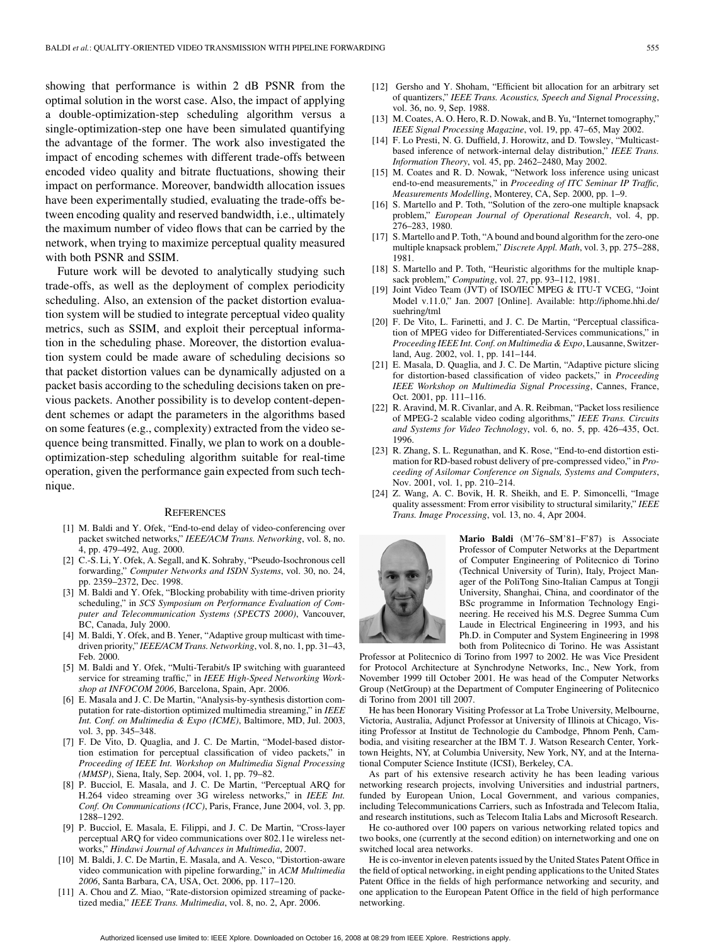showing that performance is within 2 dB PSNR from the optimal solution in the worst case. Also, the impact of applying a double-optimization-step scheduling algorithm versus a single-optimization-step one have been simulated quantifying the advantage of the former. The work also investigated the impact of encoding schemes with different trade-offs between encoded video quality and bitrate fluctuations, showing their impact on performance. Moreover, bandwidth allocation issues have been experimentally studied, evaluating the trade-offs between encoding quality and reserved bandwidth, i.e., ultimately the maximum number of video flows that can be carried by the network, when trying to maximize perceptual quality measured with both PSNR and SSIM.

Future work will be devoted to analytically studying such trade-offs, as well as the deployment of complex periodicity scheduling. Also, an extension of the packet distortion evaluation system will be studied to integrate perceptual video quality metrics, such as SSIM, and exploit their perceptual information in the scheduling phase. Moreover, the distortion evaluation system could be made aware of scheduling decisions so that packet distortion values can be dynamically adjusted on a packet basis according to the scheduling decisions taken on previous packets. Another possibility is to develop content-dependent schemes or adapt the parameters in the algorithms based on some features (e.g., complexity) extracted from the video sequence being transmitted. Finally, we plan to work on a doubleoptimization-step scheduling algorithm suitable for real-time operation, given the performance gain expected from such technique.

#### **REFERENCES**

- [1] M. Baldi and Y. Ofek, "End-to-end delay of video-conferencing over packet switched networks," *IEEE/ACM Trans. Networking*, vol. 8, no. 4, pp. 479–492, Aug. 2000.
- [2] C.-S. Li, Y. Ofek, A. Segall, and K. Sohraby, "Pseudo-Isochronous cell forwarding," *Computer Networks and ISDN Systems*, vol. 30, no. 24, pp. 2359–2372, Dec. 1998.
- [3] M. Baldi and Y. Ofek, "Blocking probability with time-driven priority scheduling," in *SCS Symposium on Performance Evaluation of Computer and Telecommunication Systems (SPECTS 2000)*, Vancouver, BC, Canada, July 2000.
- [4] M. Baldi, Y. Ofek, and B. Yener, "Adaptive group multicast with timedriven priority," *IEEE/ACM Trans. Networking*, vol. 8, no. 1, pp. 31–43, Feb. 2000.
- [5] M. Baldi and Y. Ofek, "Multi-Terabit/s IP switching with guaranteed service for streaming traffic," in *IEEE High-Speed Networking Workshop at INFOCOM 2006*, Barcelona, Spain, Apr. 2006.
- [6] E. Masala and J. C. De Martin, "Analysis-by-synthesis distortion computation for rate-distortion optimized multimedia streaming," in *IEEE Int. Conf. on Multimedia & Expo (ICME)*, Baltimore, MD, Jul. 2003, vol. 3, pp. 345–348.
- [7] F. De Vito, D. Quaglia, and J. C. De Martin, "Model-based distortion estimation for perceptual classification of video packets," in *Proceeding of IEEE Int. Workshop on Multimedia Signal Processing (MMSP)*, Siena, Italy, Sep. 2004, vol. 1, pp. 79–82.
- [8] P. Bucciol, E. Masala, and J. C. De Martin, "Perceptual ARQ for H.264 video streaming over 3G wireless networks," in *IEEE Int. Conf. On Communications (ICC)*, Paris, France, June 2004, vol. 3, pp. 1288–1292.
- [9] P. Bucciol, E. Masala, E. Filippi, and J. C. De Martin, "Cross-layer perceptual ARQ for video communications over 802.11e wireless networks," *Hindawi Journal of Advances in Multimedia*, 2007.
- [10] M. Baldi, J. C. De Martin, E. Masala, and A. Vesco, "Distortion-aware video communication with pipeline forwarding," in *ACM Multimedia 2006*, Santa Barbara, CA, USA, Oct. 2006, pp. 117–120.
- [11] A. Chou and Z. Miao, "Rate-distorsion opimized streaming of packetized media," *IEEE Trans. Multimedia*, vol. 8, no. 2, Apr. 2006.
- [12] Gersho and Y. Shoham, "Efficient bit allocation for an arbitrary set of quantizers," *IEEE Trans. Acoustics, Speech and Signal Processing*, vol. 36, no. 9, Sep. 1988.
- [13] M. Coates, A. O. Hero, R. D. Nowak, and B. Yu, "Internet tomography," *IEEE Signal Processing Magazine*, vol. 19, pp. 47–65, May 2002.
- [14] F. Lo Presti, N. G. Duffield, J. Horowitz, and D. Towsley, "Multicastbased inference of network-internal delay distribution," *IEEE Trans. Information Theory*, vol. 45, pp. 2462–2480, May 2002.
- [15] M. Coates and R. D. Nowak, "Network loss inference using unicast end-to-end measurements," in *Proceeding of ITC Seminar IP Traffic, Measurements Modelling*, Monterey, CA, Sep. 2000, pp. 1–9.
- [16] S. Martello and P. Toth, "Solution of the zero-one multiple knapsack problem," *European Journal of Operational Research*, vol. 4, pp. 276–283, 1980.
- [17] S. Martello and P. Toth, "A bound and bound algorithm for the zero-one multiple knapsack problem," *Discrete Appl. Math*, vol. 3, pp. 275–288, 1981.
- [18] S. Martello and P. Toth, "Heuristic algorithms for the multiple knapsack problem," *Computing*, vol. 27, pp. 93–112, 1981.
- [19] Joint Video Team (JVT) of ISO/IEC MPEG & ITU-T VCEG, "Joint Model v.11.0," Jan. 2007 [Online]. Available: http://iphome.hhi.de/ suehring/tml
- [20] F. De Vito, L. Farinetti, and J. C. De Martin, "Perceptual classification of MPEG video for Differentiated-Services communications," in *Proceeding IEEE Int. Conf. on Multimedia & Expo*, Lausanne, Switzerland, Aug. 2002, vol. 1, pp. 141–144.
- [21] E. Masala, D. Quaglia, and J. C. De Martin, "Adaptive picture slicing for distortion-based classification of video packets," in *Proceeding IEEE Workshop on Multimedia Signal Processing*, Cannes, France, Oct. 2001, pp. 111–116.
- [22] R. Aravind, M. R. Civanlar, and A. R. Reibman, "Packet loss resilience of MPEG-2 scalable video coding algorithms," *IEEE Trans. Circuits and Systems for Video Technology*, vol. 6, no. 5, pp. 426–435, Oct. 1996.
- [23] R. Zhang, S. L. Regunathan, and K. Rose, "End-to-end distortion estimation for RD-based robust delivery of pre-compressed video," in *Proceeding of Asilomar Conference on Signals, Systems and Computers*, Nov. 2001, vol. 1, pp. 210–214.
- [24] Z. Wang, A. C. Bovik, H. R. Sheikh, and E. P. Simoncelli, "Image quality assessment: From error visibility to structural similarity," *IEEE Trans. Image Processing*, vol. 13, no. 4, Apr 2004.



**Mario Baldi** (M'76–SM'81–F'87) is Associate Professor of Computer Networks at the Department of Computer Engineering of Politecnico di Torino (Technical University of Turin), Italy, Project Manager of the PoliTong Sino-Italian Campus at Tongji University, Shanghai, China, and coordinator of the BSc programme in Information Technology Engineering. He received his M.S. Degree Summa Cum Laude in Electrical Engineering in 1993, and his Ph.D. in Computer and System Engineering in 1998 both from Politecnico di Torino. He was Assistant

Professor at Politecnico di Torino from 1997 to 2002. He was Vice President for Protocol Architecture at Synchrodyne Networks, Inc., New York, from November 1999 till October 2001. He was head of the Computer Networks Group (NetGroup) at the Department of Computer Engineering of Politecnico di Torino from 2001 till 2007.

He has been Honorary Visiting Professor at La Trobe University, Melbourne, Victoria, Australia, Adjunct Professor at University of Illinois at Chicago, Visiting Professor at Institut de Technologie du Cambodge, Phnom Penh, Cambodia, and visiting researcher at the IBM T. J. Watson Research Center, Yorktown Heights, NY, at Columbia University, New York, NY, and at the International Computer Science Institute (ICSI), Berkeley, CA.

As part of his extensive research activity he has been leading various networking research projects, involving Universities and industrial partners, funded by European Union, Local Government, and various companies, including Telecommunications Carriers, such as Infostrada and Telecom Italia, and research institutions, such as Telecom Italia Labs and Microsoft Research.

He co-authored over 100 papers on various networking related topics and two books, one (currently at the second edition) on internetworking and one on switched local area networks.

He is co-inventor in eleven patents issued by the United States Patent Office in the field of optical networking, in eight pending applications to the United States Patent Office in the fields of high performance networking and security, and one application to the European Patent Office in the field of high performance networking.